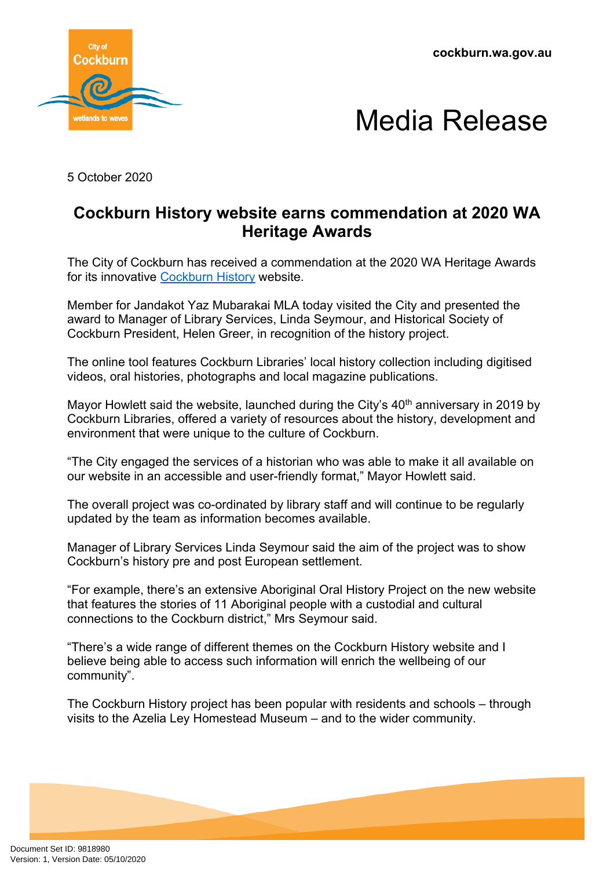**cockburn.wa.gov.au**





5 October 2020

## **Cockburn History website earns commendation at 2020 WA Heritage Awards**

The City of Cockburn has received a commendation at the 2020 WA Heritage Awards for its innovative [Cockburn History](https://history.cockburn.wa.gov.au/) website.

Member for Jandakot Yaz Mubarakai MLA today visited the City and presented the award to Manager of Library Services, Linda Seymour, and Historical Society of Cockburn President, Helen Greer, in recognition of the history project.

The online tool features Cockburn Libraries' local history collection including digitised videos, oral histories, photographs and local magazine publications.

Mayor Howlett said the website, launched during the City's 40<sup>th</sup> anniversary in 2019 by Cockburn Libraries, offered a variety of resources about the history, development and environment that were unique to the culture of Cockburn.

"The City engaged the services of a historian who was able to make it all available on our website in an accessible and user-friendly format," Mayor Howlett said.

The overall project was co-ordinated by library staff and will continue to be regularly updated by the team as information becomes available.

Manager of Library Services Linda Seymour said the aim of the project was to show Cockburn's history pre and post European settlement.

"For example, there's an extensive Aboriginal Oral History Project on the new website that features the stories of 11 Aboriginal people with a custodial and cultural connections to the Cockburn district," Mrs Seymour said.

"There's a wide range of different themes on the Cockburn History website and I believe being able to access such information will enrich the wellbeing of our community".

The Cockburn History project has been popular with residents and schools – through visits to the Azelia Ley Homestead Museum – and to the wider community.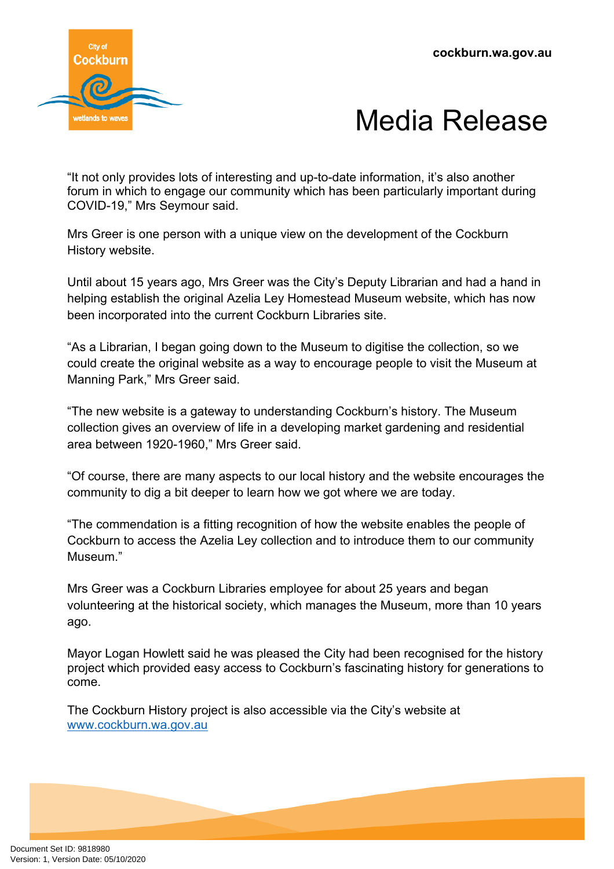



"It not only provides lots of interesting and up-to-date information, it's also another forum in which to engage our community which has been particularly important during COVID-19," Mrs Seymour said.

Mrs Greer is one person with a unique view on the development of the Cockburn History website.

Until about 15 years ago, Mrs Greer was the City's Deputy Librarian and had a hand in helping establish the original Azelia Ley Homestead Museum website, which has now been incorporated into the current Cockburn Libraries site.

"As a Librarian, I began going down to the Museum to digitise the collection, so we could create the original website as a way to encourage people to visit the Museum at Manning Park," Mrs Greer said.

"The new website is a gateway to understanding Cockburn's history. The Museum collection gives an overview of life in a developing market gardening and residential area between 1920-1960," Mrs Greer said.

"Of course, there are many aspects to our local history and the website encourages the community to dig a bit deeper to learn how we got where we are today.

"The commendation is a fitting recognition of how the website enables the people of Cockburn to access the Azelia Ley collection and to introduce them to our community Museum."

Mrs Greer was a Cockburn Libraries employee for about 25 years and began volunteering at the historical society, which manages the Museum, more than 10 years ago.

Mayor Logan Howlett said he was pleased the City had been recognised for the history project which provided easy access to Cockburn's fascinating history for generations to come.

The Cockburn History project is also accessible via the City's website at [www.cockburn.wa.gov.au](http://www.cockburn.wa.gov.au/)